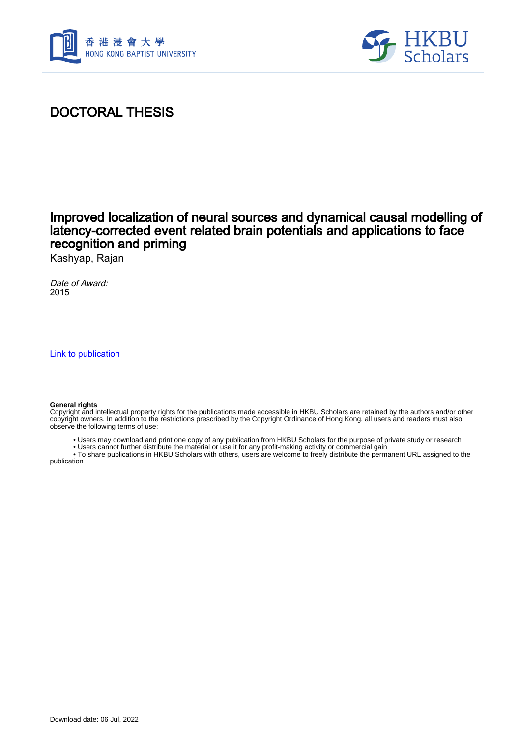



## DOCTORAL THESIS

### Improved localization of neural sources and dynamical causal modelling of latency-corrected event related brain potentials and applications to face recognition and priming

Kashyap, Rajan

Date of Award: 2015

[Link to publication](https://scholars.hkbu.edu.hk/en/studentTheses/1d4c7460-94c7-40dd-8280-a90034944c41)

#### **General rights**

Copyright and intellectual property rights for the publications made accessible in HKBU Scholars are retained by the authors and/or other copyright owners. In addition to the restrictions prescribed by the Copyright Ordinance of Hong Kong, all users and readers must also observe the following terms of use:

• Users may download and print one copy of any publication from HKBU Scholars for the purpose of private study or research

• Users cannot further distribute the material or use it for any profit-making activity or commercial gain

 • To share publications in HKBU Scholars with others, users are welcome to freely distribute the permanent URL assigned to the publication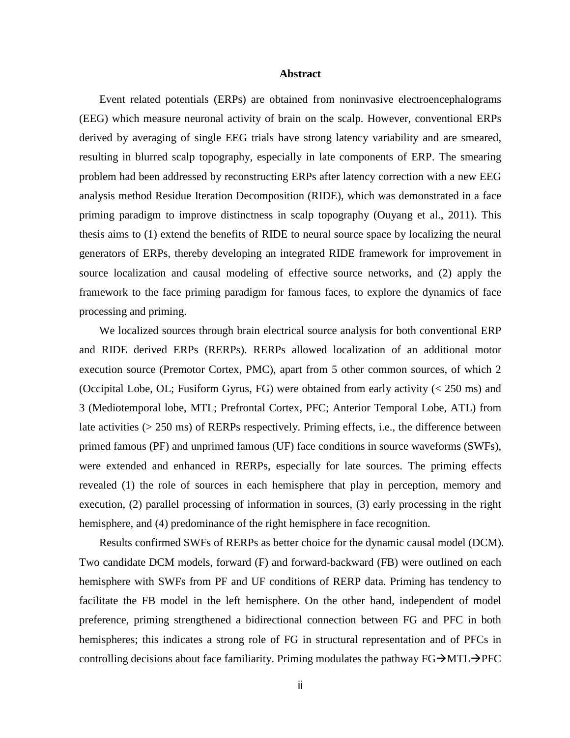### **Abstract**

Event related potentials (ERPs) are obtained from noninvasive electroencephalograms (EEG) which measure neuronal activity of brain on the scalp. However, conventional ERPs derived by averaging of single EEG trials have strong latency variability and are smeared, resulting in blurred scalp topography, especially in late components of ERP. The smearing problem had been addressed by reconstructing ERPs after latency correction with a new EEG analysis method Residue Iteration Decomposition (RIDE), which was demonstrated in a face priming paradigm to improve distinctness in scalp topography (Ouyang et al., 2011). This thesis aims to (1) extend the benefits of RIDE to neural source space by localizing the neural generators of ERPs, thereby developing an integrated RIDE framework for improvement in source localization and causal modeling of effective source networks, and (2) apply the framework to the face priming paradigm for famous faces, to explore the dynamics of face processing and priming.

We localized sources through brain electrical source analysis for both conventional ERP and RIDE derived ERPs (RERPs). RERPs allowed localization of an additional motor execution source (Premotor Cortex, PMC), apart from 5 other common sources, of which 2 (Occipital Lobe, OL; Fusiform Gyrus, FG) were obtained from early activity (< 250 ms) and 3 (Mediotemporal lobe, MTL; Prefrontal Cortex, PFC; Anterior Temporal Lobe, ATL) from late activities (> 250 ms) of RERPs respectively. Priming effects, i.e., the difference between primed famous (PF) and unprimed famous (UF) face conditions in source waveforms (SWFs), were extended and enhanced in RERPs, especially for late sources. The priming effects revealed (1) the role of sources in each hemisphere that play in perception, memory and execution, (2) parallel processing of information in sources, (3) early processing in the right hemisphere, and (4) predominance of the right hemisphere in face recognition.

Results confirmed SWFs of RERPs as better choice for the dynamic causal model (DCM). Two candidate DCM models, forward (F) and forward-backward (FB) were outlined on each hemisphere with SWFs from PF and UF conditions of RERP data. Priming has tendency to facilitate the FB model in the left hemisphere. On the other hand, independent of model preference, priming strengthened a bidirectional connection between FG and PFC in both hemispheres; this indicates a strong role of FG in structural representation and of PFCs in controlling decisions about face familiarity. Priming modulates the pathway  $FG\rightarrow MTL\rightarrow PFC$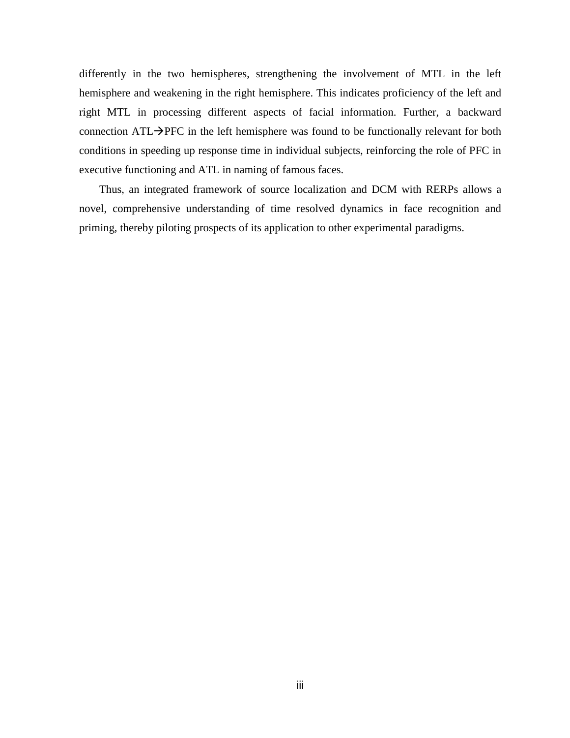differently in the two hemispheres, strengthening the involvement of MTL in the left hemisphere and weakening in the right hemisphere. This indicates proficiency of the left and right MTL in processing different aspects of facial information. Further, a backward connection  $ATL\rightarrow$ PFC in the left hemisphere was found to be functionally relevant for both conditions in speeding up response time in individual subjects, reinforcing the role of PFC in executive functioning and ATL in naming of famous faces.

Thus, an integrated framework of source localization and DCM with RERPs allows a novel, comprehensive understanding of time resolved dynamics in face recognition and priming, thereby piloting prospects of its application to other experimental paradigms.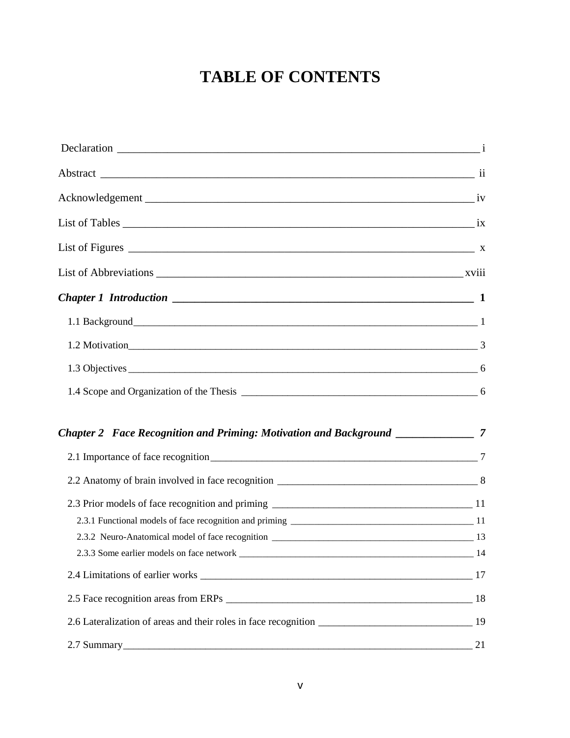# **TABLE OF CONTENTS**

| List of Figures $\frac{1}{x}$ |     |
|-------------------------------|-----|
|                               |     |
|                               |     |
|                               |     |
|                               |     |
|                               |     |
|                               |     |
|                               |     |
|                               |     |
|                               |     |
|                               |     |
|                               |     |
|                               |     |
|                               | -14 |
|                               |     |
|                               |     |
|                               |     |
|                               | 21  |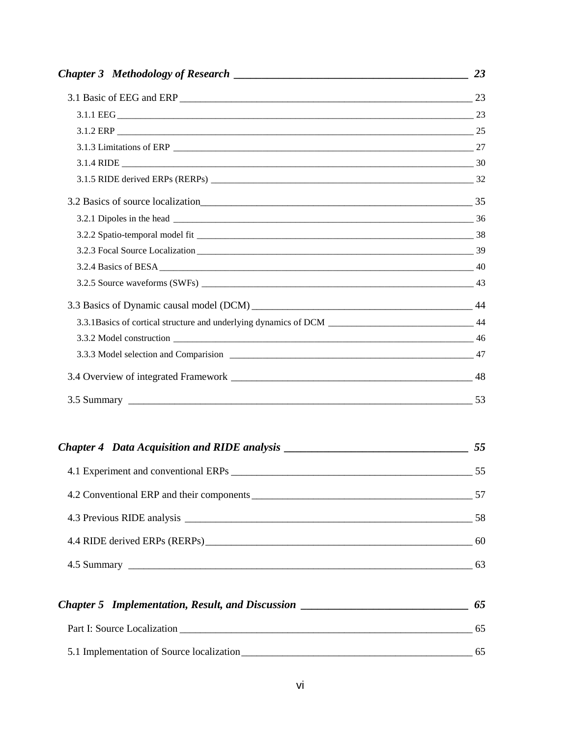| 3.3.1Basics of cortical structure and underlying dynamics of DCM __________________________________ 44 |  |
|--------------------------------------------------------------------------------------------------------|--|
|                                                                                                        |  |
|                                                                                                        |  |
|                                                                                                        |  |
|                                                                                                        |  |

# *Chapter 4 Data Acquisition and RIDE analysis \_\_\_\_\_\_\_\_\_\_\_\_\_\_\_\_\_\_\_\_\_\_\_\_\_\_\_\_\_\_\_\_\_ 55* 4.1 Experiment and conventional ERPs \_\_\_\_\_\_\_\_\_\_\_\_\_\_\_\_\_\_\_\_\_\_\_\_\_\_\_\_\_\_\_\_\_\_\_\_\_\_\_\_\_\_\_\_\_\_\_ 55 4.2 Conventional ERP and their components \_\_\_\_\_\_\_\_\_\_\_\_\_\_\_\_\_\_\_\_\_\_\_\_\_\_\_\_\_\_\_\_\_\_\_\_\_\_\_\_\_\_\_ 57 4.3 Previous RIDE analysis \_\_\_\_\_\_\_\_\_\_\_\_\_\_\_\_\_\_\_\_\_\_\_\_\_\_\_\_\_\_\_\_\_\_\_\_\_\_\_\_\_\_\_\_\_\_\_\_\_\_\_\_\_\_\_\_ 58 4.4 RIDE derived ERPs (RERPs)\_\_\_\_\_\_\_\_\_\_\_\_\_\_\_\_\_\_\_\_\_\_\_\_\_\_\_\_\_\_\_\_\_\_\_\_\_\_\_\_\_\_\_\_\_\_\_\_\_\_\_\_ 60 4.5 Summary \_\_\_\_\_\_\_\_\_\_\_\_\_\_\_\_\_\_\_\_\_\_\_\_\_\_\_\_\_\_\_\_\_\_\_\_\_\_\_\_\_\_\_\_\_\_\_\_\_\_\_\_\_\_\_\_\_\_\_\_\_\_\_\_\_\_\_ 63

| <b>Chapter 5</b> Implementation, Result, and Discussion | 65 |
|---------------------------------------------------------|----|
| Part I: Source Localization                             | 65 |
| 5.1 Implementation of Source localization               | 65 |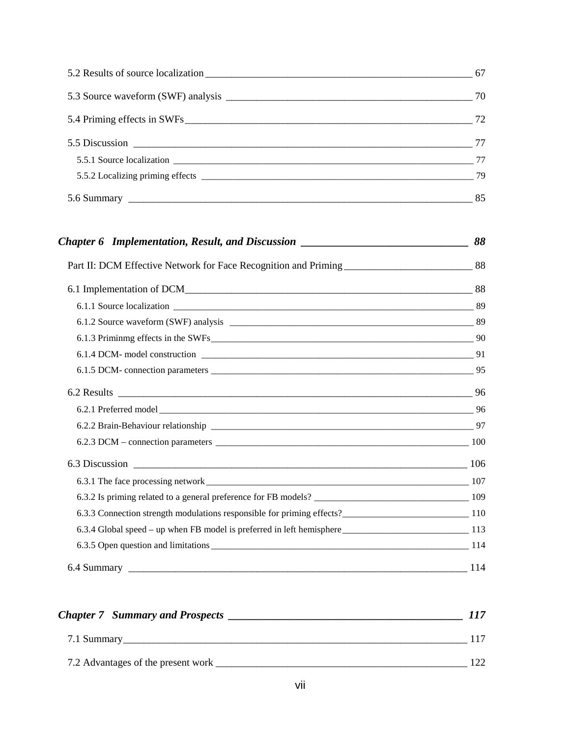| 85 |
|----|

| <b>Chapter 7 Summary and Prospects</b> | 117 |
|----------------------------------------|-----|
| 7.1 Summary                            |     |
| 7.2 Advantages of the present work     | 122 |